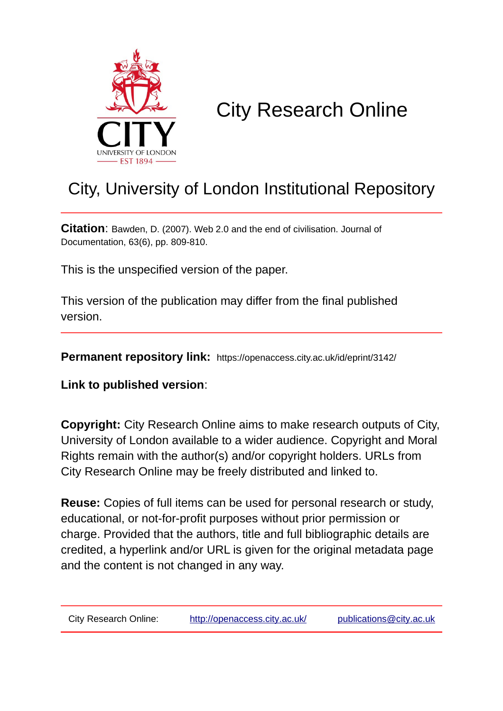

# City Research Online

## City, University of London Institutional Repository

**Citation**: Bawden, D. (2007). Web 2.0 and the end of civilisation. Journal of Documentation, 63(6), pp. 809-810.

This is the unspecified version of the paper.

This version of the publication may differ from the final published version.

**Permanent repository link:** https://openaccess.city.ac.uk/id/eprint/3142/

**Link to published version**:

**Copyright:** City Research Online aims to make research outputs of City, University of London available to a wider audience. Copyright and Moral Rights remain with the author(s) and/or copyright holders. URLs from City Research Online may be freely distributed and linked to.

**Reuse:** Copies of full items can be used for personal research or study, educational, or not-for-profit purposes without prior permission or charge. Provided that the authors, title and full bibliographic details are credited, a hyperlink and/or URL is given for the original metadata page and the content is not changed in any way.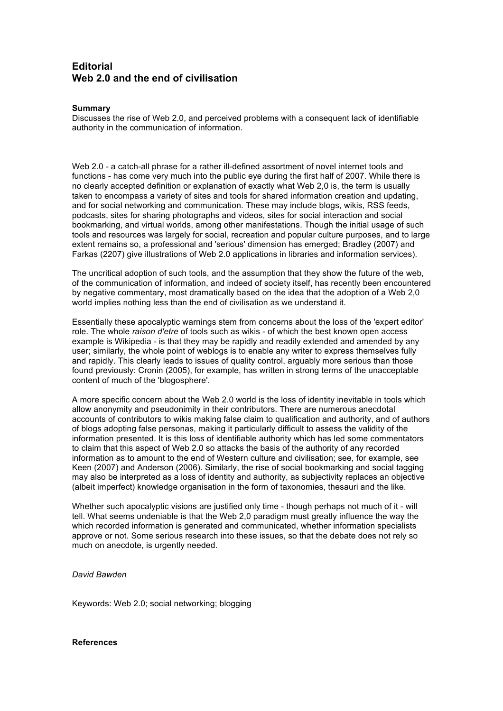### **Editorial Web 2.0 and the end of civilisation**

#### **Summary**

Discusses the rise of Web 2.0, and perceived problems with a consequent lack of identifiable authority in the communication of information.

Web 2.0 - a catch-all phrase for a rather ill-defined assortment of novel internet tools and functions - has come very much into the public eye during the first half of 2007. While there is no clearly accepted definition or explanation of exactly what Web 2,0 is, the term is usually taken to encompass a variety of sites and tools for shared information creation and updating, and for social networking and communication. These may include blogs, wikis, RSS feeds, podcasts, sites for sharing photographs and videos, sites for social interaction and social bookmarking, and virtual worlds, among other manifestations. Though the initial usage of such tools and resources was largely for social, recreation and popular culture purposes, and to large extent remains so, a professional and 'serious' dimension has emerged; Bradley (2007) and Farkas (2207) give illustrations of Web 2.0 applications in libraries and information services).

The uncritical adoption of such tools, and the assumption that they show the future of the web, of the communication of information, and indeed of society itself, has recently been encountered by negative commentary, most dramatically based on the idea that the adoption of a Web 2,0 world implies nothing less than the end of civilisation as we understand it.

Essentially these apocalyptic warnings stem from concerns about the loss of the 'expert editor' role. The whole *raison d'etre* of tools such as wikis - of which the best known open access example is Wikipedia - is that they may be rapidly and readily extended and amended by any user; similarly, the whole point of weblogs is to enable any writer to express themselves fully and rapidly. This clearly leads to issues of quality control, arguably more serious than those found previously: Cronin (2005), for example, has written in strong terms of the unacceptable content of much of the 'blogosphere'.

A more specific concern about the Web 2.0 world is the loss of identity inevitable in tools which allow anonymity and pseudonimity in their contributors. There are numerous anecdotal accounts of contributors to wikis making false claim to qualification and authority, and of authors of blogs adopting false personas, making it particularly difficult to assess the validity of the information presented. It is this loss of identifiable authority which has led some commentators to claim that this aspect of Web 2.0 so attacks the basis of the authority of any recorded information as to amount to the end of Western culture and civilisation; see, for example, see Keen (2007) and Anderson (2006). Similarly, the rise of social bookmarking and social tagging may also be interpreted as a loss of identity and authority, as subjectivity replaces an objective (albeit imperfect) knowledge organisation in the form of taxonomies, thesauri and the like.

Whether such apocalyptic visions are justified only time - though perhaps not much of it - will tell. What seems undeniable is that the Web 2,0 paradigm must greatly influence the way the which recorded information is generated and communicated, whether information specialists approve or not. Some serious research into these issues, so that the debate does not rely so much on anecdote, is urgently needed.

#### *David Bawden*

Keywords: Web 2.0; social networking; blogging

#### **References**